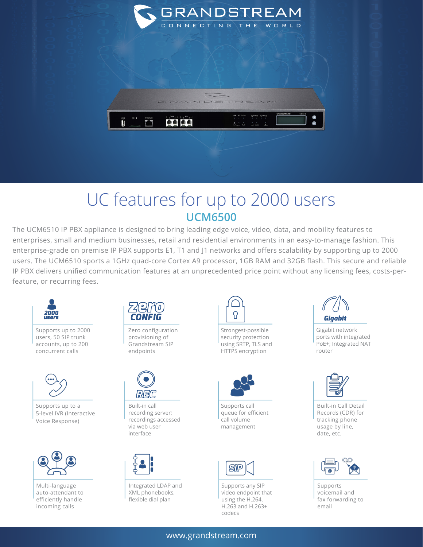

## UC features for up to 2000 users **UCM6500**

The UCM6510 IP PBX appliance is designed to bring leading edge voice, video, data, and mobility features to enterprises, small and medium businesses, retail and residential environments in an easy-to-manage fashion. This enterprise-grade on premise IP PBX supports E1, T1 and J1 networks and offers scalability by supporting up to 2000 users. The UCM6510 sports a 1GHz quad-core Cortex A9 processor, 1GB RAM and 32GB flash. This secure and reliable IP PBX delivers unified communication features at an unprecedented price point without any licensing fees, costs-perfeature, or recurring fees.



Supports up to 2000 users, 50 SIP trunk accounts, up to 200 concurrent calls



Supports up to a 5-level IVR (Interactive Voice Response)



Multi-language auto-attendant to efficiently handle incoming calls



Zero configuration provisioning of Grandstream SIP endpoints



Built-in call recording server; recordings accessed via web user interface



Integrated LDAP and XML phonebooks, flexible dial plan



Strongest-possible security protection using SRTP, TLS and HTTPS encryption



Supports call queue for efficient call volume management



Supports any SIP video endpoint that using the H.264, H.263 and H.263+ codecs



Gigabit network ports with integrated PoE+; Integrated NAT router



Built-in Call Detail Records (CDR) for tracking phone usage by line, date, etc.



Supports voicemail and fax forwarding to email